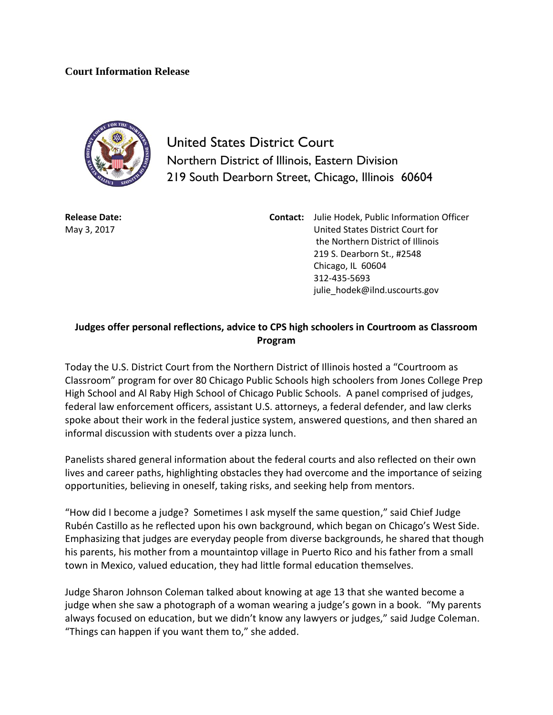## **Court Information Release**



United States District Court Northern District of Illinois, Eastern Division 219 South Dearborn Street, Chicago, Illinois 60604

**Release Date:** May 3, 2017

**Contact:** Julie Hodek, Public Information Officer United States District Court for the Northern District of Illinois 219 S. Dearborn St., #2548 Chicago, IL 60604 312-435-5693 julie\_hodek@ilnd.uscourts.gov

## **Judges offer personal reflections, advice to CPS high schoolers in Courtroom as Classroom Program**

Today the U.S. District Court from the Northern District of Illinois hosted a "Courtroom as Classroom" program for over 80 Chicago Public Schools high schoolers from Jones College Prep High School and Al Raby High School of Chicago Public Schools. A panel comprised of judges, federal law enforcement officers, assistant U.S. attorneys, a federal defender, and law clerks spoke about their work in the federal justice system, answered questions, and then shared an informal discussion with students over a pizza lunch.

Panelists shared general information about the federal courts and also reflected on their own lives and career paths, highlighting obstacles they had overcome and the importance of seizing opportunities, believing in oneself, taking risks, and seeking help from mentors.

"How did I become a judge? Sometimes I ask myself the same question," said Chief Judge Rubén Castillo as he reflected upon his own background, which began on Chicago's West Side. Emphasizing that judges are everyday people from diverse backgrounds, he shared that though his parents, his mother from a mountaintop village in Puerto Rico and his father from a small town in Mexico, valued education, they had little formal education themselves.

Judge Sharon Johnson Coleman talked about knowing at age 13 that she wanted become a judge when she saw a photograph of a woman wearing a judge's gown in a book. "My parents always focused on education, but we didn't know any lawyers or judges," said Judge Coleman. "Things can happen if you want them to," she added.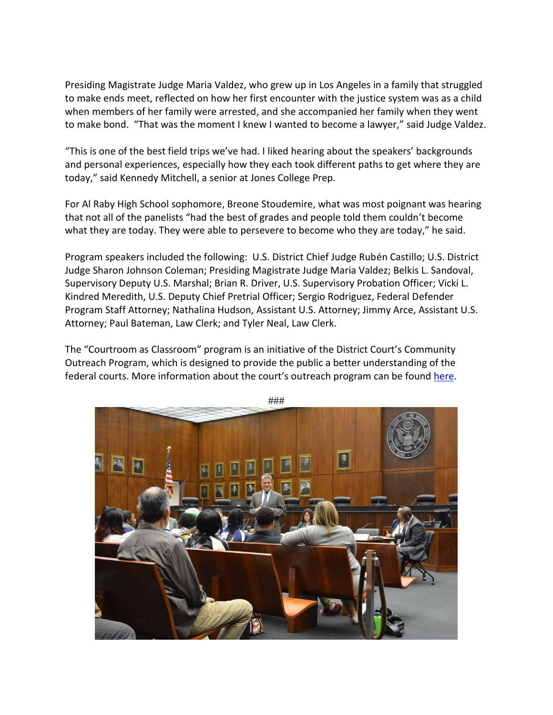Presiding Magistrate Judge Maria Valdez, who grew up in Los Angeles in a family that struggled to make ends meet, reflected on how her first encounter with the justice system was as a child when members of her family were arrested, and she accompanied her family when they went to make bond. "That was the moment I knew I wanted to become a lawyer," said Judge Valdez.

"This is one of the best field trips we've had. I liked hearing about the speakers' backgrounds and personal experiences, especially how they each took different paths to get where they are today," said Kennedy Mitchell, a senior at Jones College Prep.

For Al Raby High School sophomore, Breone Stoudemire, what was most poignant was hearing that not all of the panelists "had the best of grades and people told them couldn't become what they are today. They were able to persevere to become who they are today," he said.

Program speakers included the following: U.S. District Chief Judge Rubén Castillo; U.S. District Judge Sharon Johnson Coleman; Presiding Magistrate Judge Maria Valdez; Belkis L. Sandoval, Supervisory Deputy U.S. Marshal; Brian R. Driver, U.S. Supervisory Probation Officer; Vicki L. Kindred Meredith, U.S. Deputy Chief Pretrial Officer; Sergio Rodriguez, Federal Defender Program Staff Attorney; Nathalina Hudson, Assistant U.S. Attorney; Jimmy Arce, Assistant U.S. Attorney; Paul Bateman, Law Clerk; and Tyler Neal, Law Clerk.

The "Courtroom as Classroom" program is an initiative of the District Court's Community Outreach Program, which is designed to provide the public a better understanding of the federal courts. More information about the court's outreach program can be found [here.](http://www.ilnd.uscourts.gov/Pages.aspx?page=outreach)